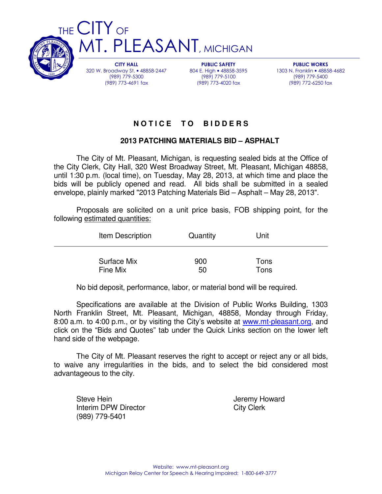

CITY HALL 320 W. Broadway St. • 48858-2447 (989) 779-5300 (989) 773-4691 fax

PUBLIC SAFETY 804 E. High • 48858-3595 (989) 779-5100 (989) 773-4020 fax

PUBLIC WORKS 1303 N. Franklin • 48858-4682 (989) 779-5400 (989) 772-6250 fax

# **N O T I C E T O B I D D E R S**

## **2013 PATCHING MATERIALS BID – ASPHALT**

 The City of Mt. Pleasant, Michigan, is requesting sealed bids at the Office of the City Clerk, City Hall, 320 West Broadway Street, Mt. Pleasant, Michigan 48858, until 1:30 p.m. (local time), on Tuesday, May 28, 2013, at which time and place the bids will be publicly opened and read. All bids shall be submitted in a sealed envelope, plainly marked "2013 Patching Materials Bid – Asphalt – May 28, 2013".

 Proposals are solicited on a unit price basis, FOB shipping point, for the following estimated quantities:

| Item Description | Quantity | Unit |
|------------------|----------|------|
| Surface Mix      | 900      | Tons |
| Fine Mix         | 50       | Tons |

No bid deposit, performance, labor, or material bond will be required.

 Specifications are available at the Division of Public Works Building, 1303 North Franklin Street, Mt. Pleasant, Michigan, 48858, Monday through Friday, 8:00 a.m. to 4:00 p.m., or by visiting the City's website at www.mt-pleasant.org, and click on the "Bids and Quotes" tab under the Quick Links section on the lower left hand side of the webpage.

 The City of Mt. Pleasant reserves the right to accept or reject any or all bids, to waive any irregularities in the bids, and to select the bid considered most advantageous to the city.

Steve Hein **Steve Hein Jeremy Howard** Interim DPW Director City Clerk (989) 779-5401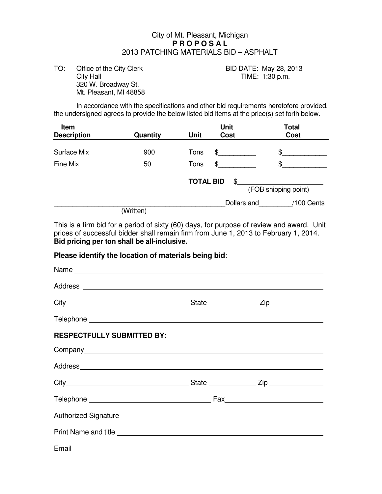## City of Mt. Pleasant, Michigan  **P R O P O S A L**  2013 PATCHING MATERIALS BID – ASPHALT

TO: Office of the City Clerk BID DATE: May 28, 2013 City Hall **City Hall TIME:** 1:30 p.m. 320 W. Broadway St. Mt. Pleasant, MI 48858

In accordance with the specifications and other bid requirements heretofore provided, the undersigned agrees to provide the below listed bid items at the price(s) set forth below.

| Item<br><b>Description</b> | Quantity  | <b>Unit</b><br><b>Unit</b><br><b>Cost</b> | <b>Total</b><br><b>Cost</b> |
|----------------------------|-----------|-------------------------------------------|-----------------------------|
| <b>Surface Mix</b>         | 900       | Tons<br>\$                                | \$                          |
| Fine Mix                   | 50        | Tons<br>\$                                | \$                          |
|                            |           | <b>TOTAL BID</b><br>\$                    | (FOB shipping point)        |
|                            | (Written) | Dollars and                               | /100 Cents                  |

This is a firm bid for a period of sixty (60) days, for purpose of review and award. Unit prices of successful bidder shall remain firm from June 1, 2013 to February 1, 2014. **Bid pricing per ton shall be all-inclusive.**

#### **Please identify the location of materials being bid**:

| <b>RESPECTFULLY SUBMITTED BY:</b> |  |  |
|-----------------------------------|--|--|
|                                   |  |  |
|                                   |  |  |
|                                   |  |  |
|                                   |  |  |
|                                   |  |  |
|                                   |  |  |
|                                   |  |  |